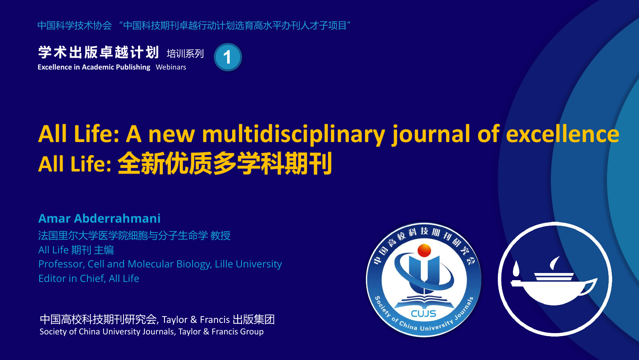中国科学技术协会 "中国科技期刊卓越行动计划选育高水平办刊人才子项目"

**学术出版卓越计划** 培训系列 **Excellence in Academic Publishing** Webinars



# **All Life: A new multidisciplinary journal of excellence All Life: 全新优质多学科期刊**

#### **Amar Abderrahmani**

法国里尔大学医学院细胞与分子生命学 教授 All Life 期刊 主编 Professor, Cell and Molecular Biology, Lille University Editor in Chief, All Life

中国高校科技期刊研究会, Taylor & Francis 出版集团 Society of China University Journals, Taylor & Francis Group

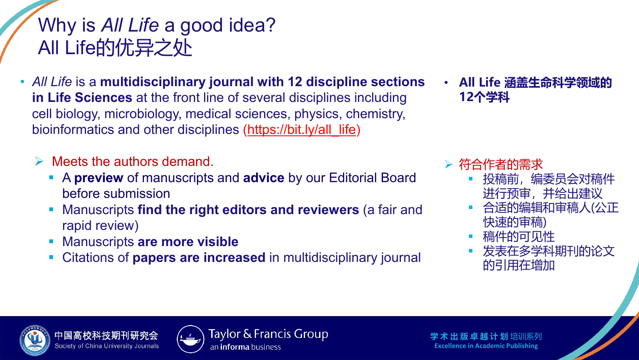### Why is *All Life* a good idea? All Life的优异之处

- *All Life* is a **multidisciplinary journal with 12 discipline sections in Life Sciences** at the front line of several disciplines including cell biology, microbiology, medical sciences, physics, chemistry, bioinformatics and other disciplines ([https://bit.ly/all\\_life\)](https://bit.ly/all_life)
	- $\triangleright$  Meets the authors demand.
		- A **preview** of manuscripts and **advice** by our Editorial Board before submission
		- Manuscripts **find the right editors and reviewers** (a fair and rapid review)
		- Manuscripts **are more visible**
		- Citations of **papers are increased** in multidisciplinary journal

• **All Life 涵盖生命科学领域的 12个学科**

### 符合作者的需求

- 投稿前, 编委员会对稿件 进行预审,并给出建议
- 合适的编辑和审稿人(公正 快速的审稿)
- 稿件的可见性
- 发表在多学科期刊的论文 的引用在增加



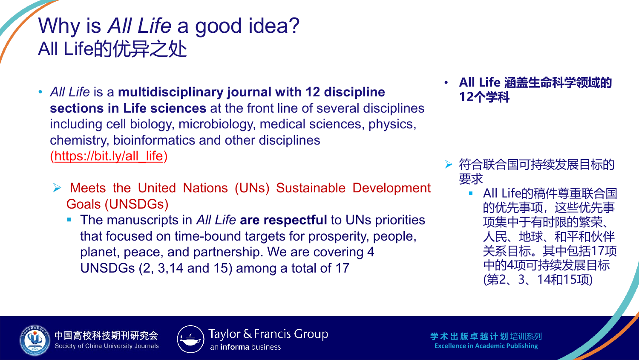### Why is *All Life* a good idea? All Life的优异之处

- *All Life* is a **multidisciplinary journal with 12 discipline sections in Life sciences** at the front line of several disciplines including cell biology, microbiology, medical sciences, physics, chemistry, bioinformatics and other disciplines ([https://bit.ly/all\\_life](https://bit.ly/all_life))
- **All Life 涵盖生命科学领域的 12个学科**

 符合联合国可持续发展目标的 要求

 All Life的稿件尊重联合国 的优先事项,这些优先事 项集中于有时限的繁荣、 人民、地球、和平和伙伴 关系目标。其中包括17项 中的4项可持续发展目标 (第2、3、14和15项)



**The manuscripts in All Life are respectful to UNs priorities** that focused on time-bound targets for prosperity, people, planet, peace, and partnership. We are covering 4 UNSDGs (2, 3,14 and 15) among a total of 17





Taylor & Francis Group an *informa* business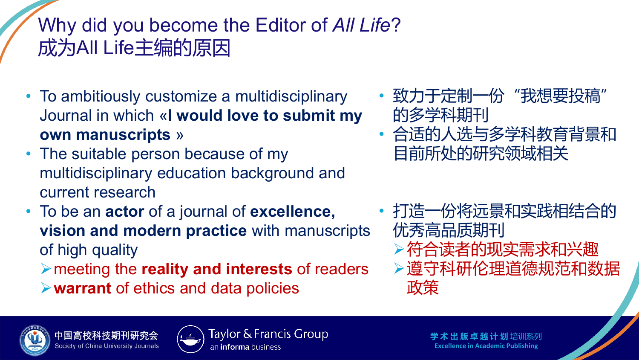### Why did you become the Editor of *All Life*? 成为All Life主编的原因

- To ambitiously customize a multidisciplinary Journal in which «**I would love to submit my own manuscripts** »
- The suitable person because of my multidisciplinary education background and current research
- To be an **actor** of a journal of **excellence, vision and modern practice** with manuscripts of high quality

meeting the **reality and interests** of readers **warrant** of ethics and data policies

- 致力于定制一份"我想要投稿" 的多学科期刊
- 合适的人选与多学科教育背景和 目前所处的研究领域相关
- 打造一份将远景和实践相结合的 优秀高品质期刊
	- ▶符合读者的现实需求和兴趣
	- 遵守科研伦理道德规范和数据 政策





Taylor & Francis Group an **informa** business